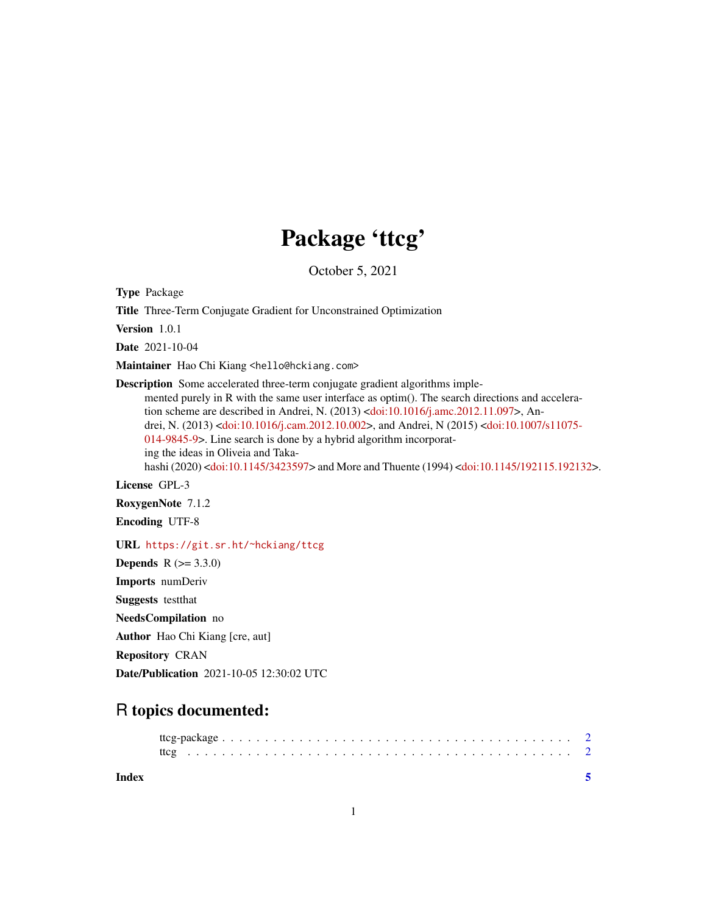# Package 'ttcg'

October 5, 2021

Type Package

Title Three-Term Conjugate Gradient for Unconstrained Optimization

Version 1.0.1

Date 2021-10-04

Maintainer Hao Chi Kiang <hello@hckiang.com>

Description Some accelerated three-term conjugate gradient algorithms implemented purely in R with the same user interface as optim(). The search directions and acceleration scheme are described in Andrei, N. (2013) [<doi:10.1016/j.amc.2012.11.097>](https://doi.org/10.1016/j.amc.2012.11.097), Andrei, N. (2013) [<doi:10.1016/j.cam.2012.10.002>](https://doi.org/10.1016/j.cam.2012.10.002), and Andrei, N (2015) [<doi:10.1007/s11075-](https://doi.org/10.1007/s11075-014-9845-9) [014-9845-9>](https://doi.org/10.1007/s11075-014-9845-9). Line search is done by a hybrid algorithm incorporating the ideas in Oliveia and Takahashi (2020) [<doi:10.1145/3423597>](https://doi.org/10.1145/3423597) and More and Thuente (1994) [<doi:10.1145/192115.192132>](https://doi.org/10.1145/192115.192132).

License GPL-3

RoxygenNote 7.1.2

Encoding UTF-8

URL <https://git.sr.ht/~hckiang/ttcg>

**Depends**  $R (= 3.3.0)$ Imports numDeriv Suggests testthat NeedsCompilation no Author Hao Chi Kiang [cre, aut] Repository CRAN Date/Publication 2021-10-05 12:30:02 UTC

## R topics documented:

**Index** [5](#page-4-0)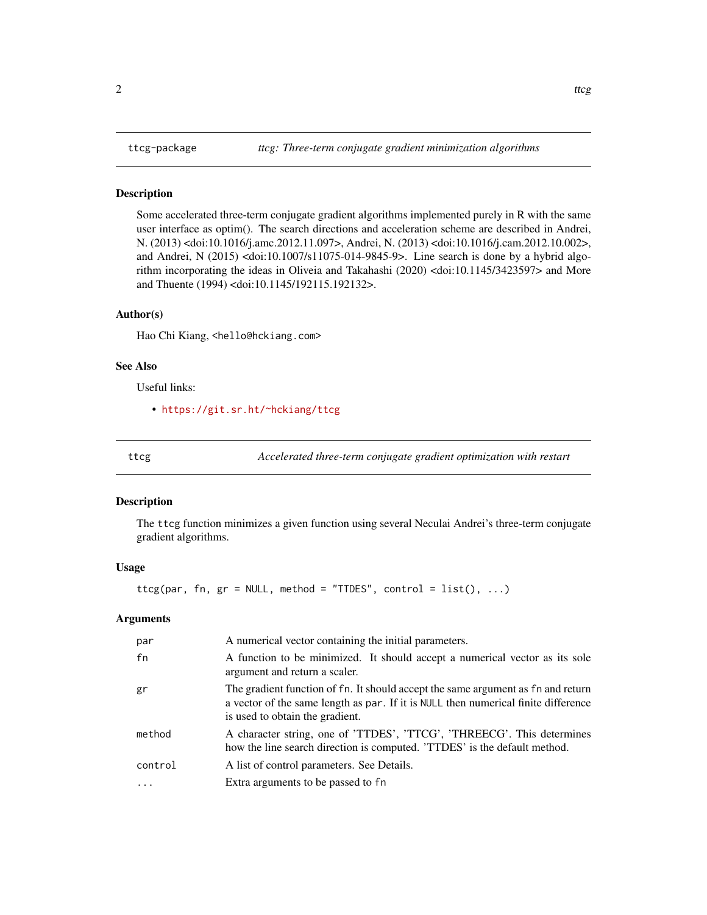#### <span id="page-1-0"></span>Description

Some accelerated three-term conjugate gradient algorithms implemented purely in R with the same user interface as optim(). The search directions and acceleration scheme are described in Andrei, N. (2013) <doi:10.1016/j.amc.2012.11.097>, Andrei, N. (2013) <doi:10.1016/j.cam.2012.10.002>, and Andrei, N (2015) <doi:10.1007/s11075-014-9845-9>. Line search is done by a hybrid algorithm incorporating the ideas in Oliveia and Takahashi (2020) <doi:10.1145/3423597> and More and Thuente (1994) <doi:10.1145/192115.192132>.

#### Author(s)

Hao Chi Kiang, <hello@hckiang.com>

#### See Also

Useful links:

• <https://git.sr.ht/~hckiang/ttcg>

ttcg *Accelerated three-term conjugate gradient optimization with restart*

#### Description

The ttcg function minimizes a given function using several Neculai Andrei's three-term conjugate gradient algorithms.

#### Usage

 $tteg(par, fn, gr = NULL, method = "TIDES", control = list(), ...)$ 

#### Arguments

| par     | A numerical vector containing the initial parameters.                                                                                                                                                     |
|---------|-----------------------------------------------------------------------------------------------------------------------------------------------------------------------------------------------------------|
| fn      | A function to be minimized. It should accept a numerical vector as its sole<br>argument and return a scaler.                                                                                              |
| gr      | The gradient function of fn. It should accept the same argument as fn and return<br>a vector of the same length as par. If it is NULL then numerical finite difference<br>is used to obtain the gradient. |
| method  | A character string, one of 'TTDES', 'TTCG', 'THREECG'. This determines<br>how the line search direction is computed. 'TTDES' is the default method.                                                       |
| control | A list of control parameters. See Details.                                                                                                                                                                |
|         | Extra arguments to be passed to fn                                                                                                                                                                        |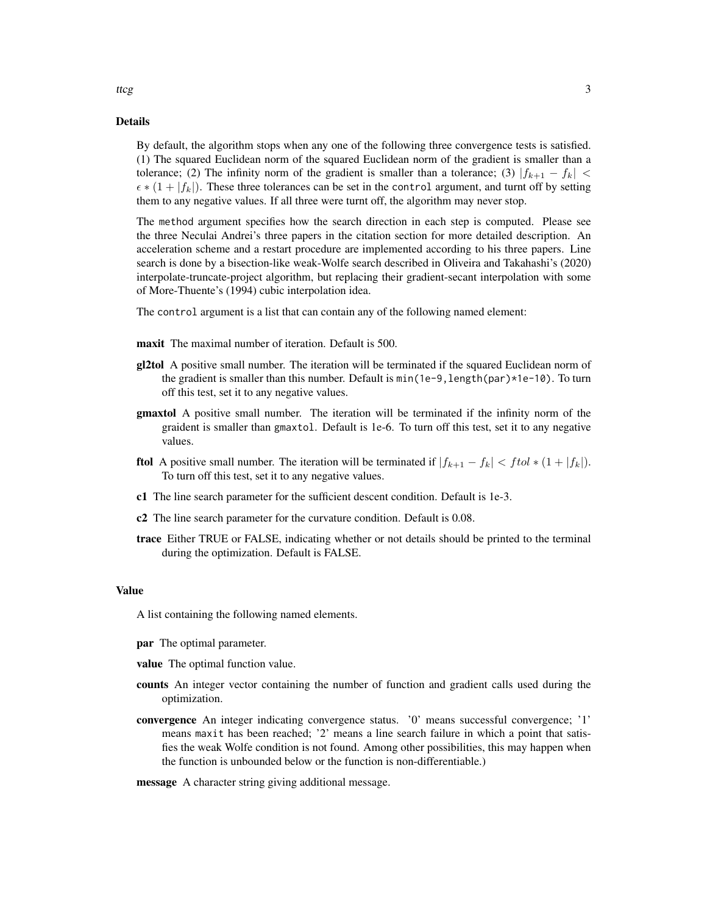#### Details

By default, the algorithm stops when any one of the following three convergence tests is satisfied. (1) The squared Euclidean norm of the squared Euclidean norm of the gradient is smaller than a tolerance; (2) The infinity norm of the gradient is smaller than a tolerance; (3)  $|f_{k+1} - f_k|$  <  $\epsilon * (1 + |f_k|)$ . These three tolerances can be set in the control argument, and turnt off by setting them to any negative values. If all three were turnt off, the algorithm may never stop.

The method argument specifies how the search direction in each step is computed. Please see the three Neculai Andrei's three papers in the citation section for more detailed description. An acceleration scheme and a restart procedure are implemented according to his three papers. Line search is done by a bisection-like weak-Wolfe search described in Oliveira and Takahashi's (2020) interpolate-truncate-project algorithm, but replacing their gradient-secant interpolation with some of More-Thuente's (1994) cubic interpolation idea.

The control argument is a list that can contain any of the following named element:

- maxit The maximal number of iteration. Default is 500.
- gl2tol A positive small number. The iteration will be terminated if the squared Euclidean norm of the gradient is smaller than this number. Default is min(1e-9,length(par)\*1e-10). To turn off this test, set it to any negative values.
- **gmaxtol** A positive small number. The iteration will be terminated if the infinity norm of the graident is smaller than gmaxtol. Default is 1e-6. To turn off this test, set it to any negative values.
- **ftol** A positive small number. The iteration will be terminated if  $|f_{k+1} f_k| < f tol * (1 + |f_k|)$ . To turn off this test, set it to any negative values.
- c1 The line search parameter for the sufficient descent condition. Default is 1e-3.
- c2 The line search parameter for the curvature condition. Default is 0.08.
- trace Either TRUE or FALSE, indicating whether or not details should be printed to the terminal during the optimization. Default is FALSE.

#### Value

A list containing the following named elements.

- **par** The optimal parameter.
- value The optimal function value.
- counts An integer vector containing the number of function and gradient calls used during the optimization.
- convergence An integer indicating convergence status. '0' means successful convergence; '1' means maxit has been reached; '2' means a line search failure in which a point that satisfies the weak Wolfe condition is not found. Among other possibilities, this may happen when the function is unbounded below or the function is non-differentiable.)

#### message A character string giving additional message.

ttcg 3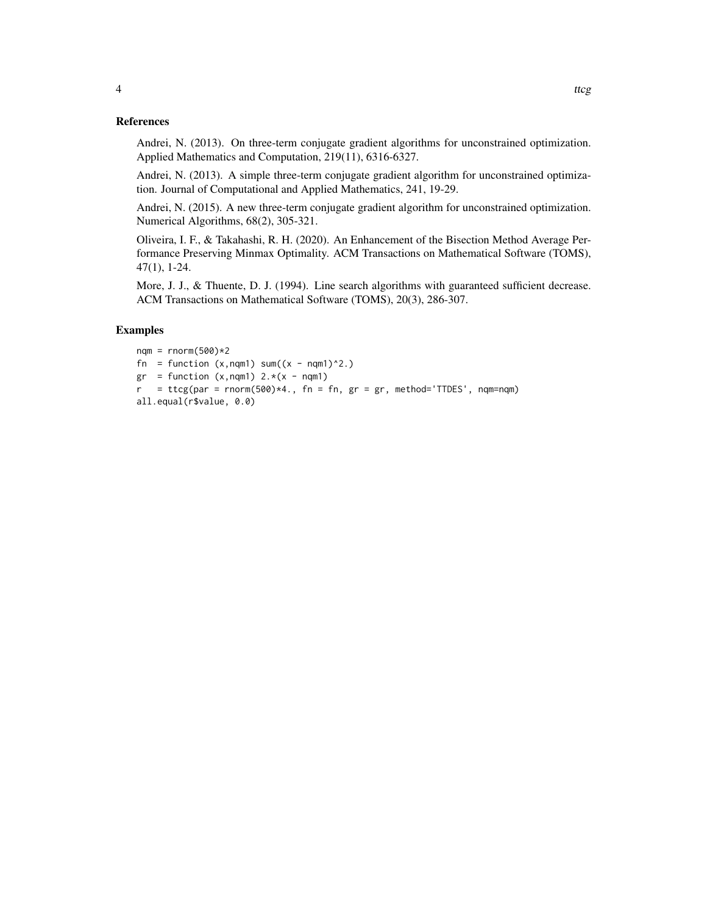#### References

Andrei, N. (2013). On three-term conjugate gradient algorithms for unconstrained optimization. Applied Mathematics and Computation, 219(11), 6316-6327.

Andrei, N. (2013). A simple three-term conjugate gradient algorithm for unconstrained optimization. Journal of Computational and Applied Mathematics, 241, 19-29.

Andrei, N. (2015). A new three-term conjugate gradient algorithm for unconstrained optimization. Numerical Algorithms, 68(2), 305-321.

Oliveira, I. F., & Takahashi, R. H. (2020). An Enhancement of the Bisection Method Average Performance Preserving Minmax Optimality. ACM Transactions on Mathematical Software (TOMS), 47(1), 1-24.

More, J. J., & Thuente, D. J. (1994). Line search algorithms with guaranteed sufficient decrease. ACM Transactions on Mathematical Software (TOMS), 20(3), 286-307.

### Examples

```
nqm = rnorm(500)*2fn = function (x, nqm1) sum((x - nqm1)^2).
gr = function (x, nqm1) 2.*( x - nqm1)r = ttcg(par = rnorm(500)*4., fn = fn, gr = gr, method='TTDES', nqm=nqm)
all.equal(r$value, 0.0)
```